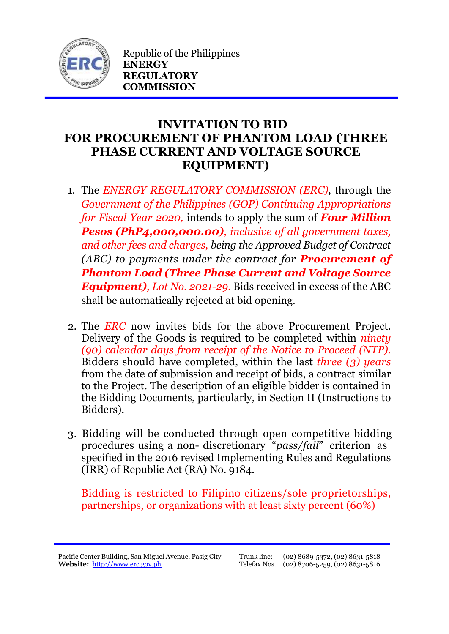

## **INVITATION TO BID FOR PROCUREMENT OF PHANTOM LOAD (THREE PHASE CURRENT AND VOLTAGE SOURCE EQUIPMENT)**

- 1. The *ENERGY REGULATORY COMMISSION (ERC)*, through the *Government of the Philippines (GOP) Continuing Appropriations for Fiscal Year 2020,* intends to apply the sum of *Four Million Pesos (PhP4,000,000.00), inclusive of all government taxes, and other fees and charges, being the Approved Budget of Contract (ABC) to payments under the contract for Procurement of Phantom Load (Three Phase Current and Voltage Source Equipment), Lot No. 2021-29.* Bids received in excess of the ABC shall be automatically rejected at bid opening.
- 2. The *ERC* now invites bids for the above Procurement Project. Delivery of the Goods is required to be completed within *ninety (90) calendar days from receipt of the Notice to Proceed (NTP).*  Bidders should have completed, within the last *three (3) years*  from the date of submission and receipt of bids, a contract similar to the Project. The description of an eligible bidder is contained in the Bidding Documents, particularly, in Section II (Instructions to Bidders).
- 3. Bidding will be conducted through open competitive bidding procedures using a non- discretionary "*pass/fail*" criterion as specified in the 2016 revised Implementing Rules and Regulations (IRR) of Republic Act (RA) No. 9184.

Bidding is restricted to Filipino citizens/sole proprietorships, partnerships, or organizations with at least sixty percent (60%)

Pacific Center Building, San Miguel Avenue, Pasig City **Website:** [http://www.erc.gov.ph](http://www.erc.gov.ph/)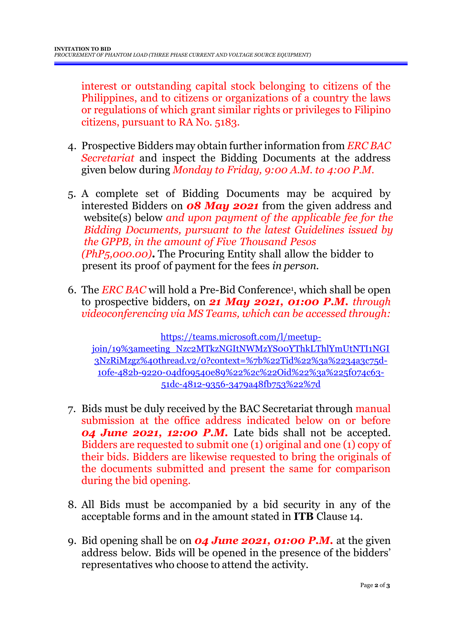interest or outstanding capital stock belonging to citizens of the Philippines, and to citizens or organizations of a country the laws or regulations of which grant similar rights or privileges to Filipino citizens, pursuant to RA No. 5183.

- 4. Prospective Bidders may obtain further information from *ERC BAC Secretariat* and inspect the Bidding Documents at the address given below during *Monday to Friday, 9:00 A.M. to 4:00 P.M*.
- 5. A complete set of Bidding Documents may be acquired by interested Bidders on *08 May 2021* from the given address and website(s) below *and upon payment of the applicable fee for the Bidding Documents, pursuant to the latest Guidelines issued by the GPPB, in the amount of Five Thousand Pesos (PhP5,000.00)***.** The Procuring Entity shall allow the bidder to present its proof of payment for the fees *in person.*
- 6. The *ERC BAC* will hold a Pre-Bid Conference<sup>1</sup> , which shall be open to prospective bidders, on *21 May 2021, 01:00 P.M. through videoconferencing via MS Teams, which can be accessed through:*

[https://teams.microsoft.com/l/meetup](https://teams.microsoft.com/l/meetup-join/19%3ameeting_Nzc2MTkzNGItNWMzYS00YThkLThlYmUtNTI1NGI3NzRiMzgz%40thread.v2/0?context=%7b%22Tid%22%3a%2234a3c75d-10fe-482b-9220-04df09540e89%22%2c%22Oid%22%3a%225f074c63-51dc-4812-9356-3479a48fb753%22%7d)[join/19%3ameeting\\_Nzc2MTkzNGItNWMzYS00YThkLThlYmUtNTI1NGI](https://teams.microsoft.com/l/meetup-join/19%3ameeting_Nzc2MTkzNGItNWMzYS00YThkLThlYmUtNTI1NGI3NzRiMzgz%40thread.v2/0?context=%7b%22Tid%22%3a%2234a3c75d-10fe-482b-9220-04df09540e89%22%2c%22Oid%22%3a%225f074c63-51dc-4812-9356-3479a48fb753%22%7d) [3NzRiMzgz%40thread.v2/0?context=%7b%22Tid%22%3a%2234a3c75d-](https://teams.microsoft.com/l/meetup-join/19%3ameeting_Nzc2MTkzNGItNWMzYS00YThkLThlYmUtNTI1NGI3NzRiMzgz%40thread.v2/0?context=%7b%22Tid%22%3a%2234a3c75d-10fe-482b-9220-04df09540e89%22%2c%22Oid%22%3a%225f074c63-51dc-4812-9356-3479a48fb753%22%7d)[10fe-482b-9220-04df09540e89%22%2c%22Oid%22%3a%225f074c63-](https://teams.microsoft.com/l/meetup-join/19%3ameeting_Nzc2MTkzNGItNWMzYS00YThkLThlYmUtNTI1NGI3NzRiMzgz%40thread.v2/0?context=%7b%22Tid%22%3a%2234a3c75d-10fe-482b-9220-04df09540e89%22%2c%22Oid%22%3a%225f074c63-51dc-4812-9356-3479a48fb753%22%7d) [51dc-4812-9356-3479a48fb753%22%7d](https://teams.microsoft.com/l/meetup-join/19%3ameeting_Nzc2MTkzNGItNWMzYS00YThkLThlYmUtNTI1NGI3NzRiMzgz%40thread.v2/0?context=%7b%22Tid%22%3a%2234a3c75d-10fe-482b-9220-04df09540e89%22%2c%22Oid%22%3a%225f074c63-51dc-4812-9356-3479a48fb753%22%7d)

- 7. Bids must be duly received by the BAC Secretariat through manual submission at the office address indicated below on or before *04 June 2021, 12:00 P.M.* Late bids shall not be accepted. Bidders are requested to submit one (1) original and one (1) copy of their bids. Bidders are likewise requested to bring the originals of the documents submitted and present the same for comparison during the bid opening.
- 8. All Bids must be accompanied by a bid security in any of the acceptable forms and in the amount stated in **ITB** Clause 14.
- 9. Bid opening shall be on *04 June 2021, 01:00 P.M.* at the given address below. Bids will be opened in the presence of the bidders' representatives who choose to attend the activity.